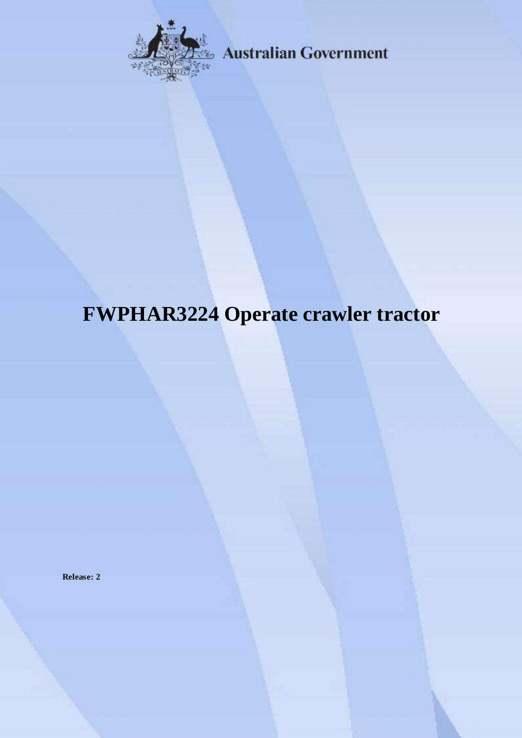

**Australian Government** 

# **FWPHAR3224 Operate crawler tractor**

**Release: 2**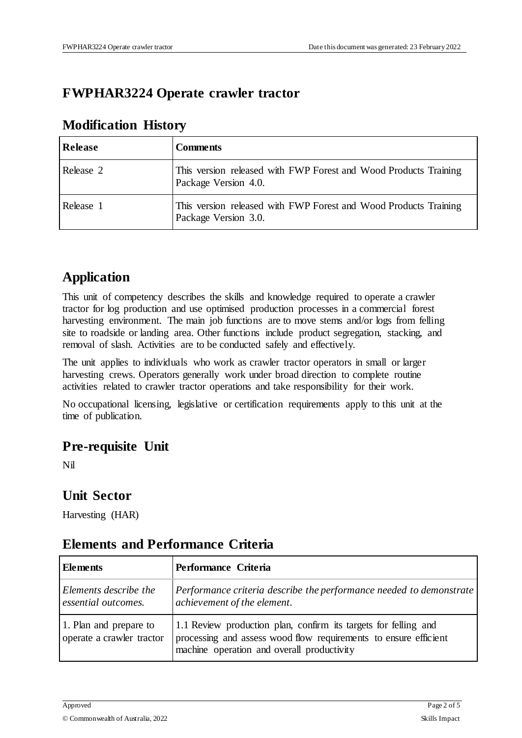### **FWPHAR3224 Operate crawler tractor**

| Release   | <b>Comments</b>                                                                          |
|-----------|------------------------------------------------------------------------------------------|
| Release 2 | This version released with FWP Forest and Wood Products Training<br>Package Version 4.0. |
| Release 1 | This version released with FWP Forest and Wood Products Training<br>Package Version 3.0. |

#### **Modification History**

## **Application**

This unit of competency describes the skills and knowledge required to operate a crawler tractor for log production and use optimised production processes in a commercial forest harvesting environment. The main job functions are to move stems and/or logs from felling site to roadside or landing area. Other functions include product segregation, stacking, and removal of slash. Activities are to be conducted safely and effectively.

The unit applies to individuals who work as crawler tractor operators in small or larger harvesting crews. Operators generally work under broad direction to complete routine activities related to crawler tractor operations and take responsibility for their work.

No occupational licensing, legislative or certification requirements apply to this unit at the time of publication.

#### **Pre-requisite Unit**

Nil

#### **Unit Sector**

Harvesting (HAR)

#### **Elements and Performance Criteria**

| <b>Elements</b>                                     | Performance Criteria                                                                                                                                                              |  |  |
|-----------------------------------------------------|-----------------------------------------------------------------------------------------------------------------------------------------------------------------------------------|--|--|
| Elements describe the<br>essential outcomes.        | Performance criteria describe the performance needed to demonstrate<br>achievement of the element.                                                                                |  |  |
| 1. Plan and prepare to<br>operate a crawler tractor | 1.1 Review production plan, confirm its targets for felling and<br>processing and assess wood flow requirements to ensure efficient<br>machine operation and overall productivity |  |  |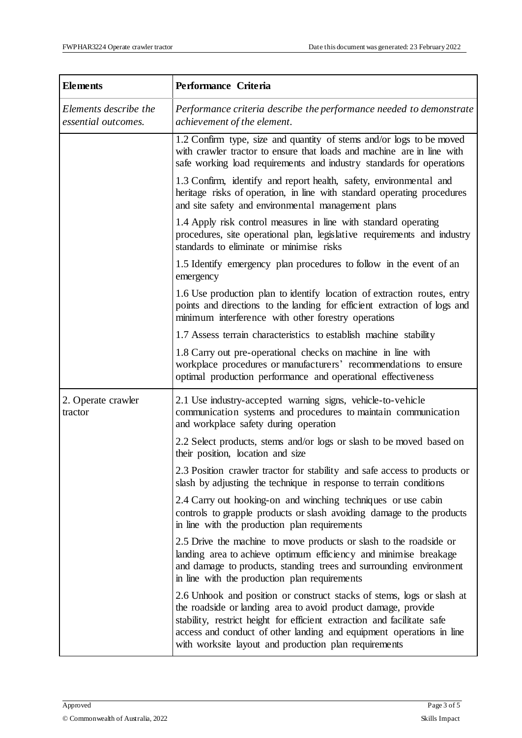| <b>Elements</b>                              | Performance Criteria                                                                                                                                                                                                                                                                                                                                |  |  |
|----------------------------------------------|-----------------------------------------------------------------------------------------------------------------------------------------------------------------------------------------------------------------------------------------------------------------------------------------------------------------------------------------------------|--|--|
| Elements describe the<br>essential outcomes. | Performance criteria describe the performance needed to demonstrate<br>achievement of the element.                                                                                                                                                                                                                                                  |  |  |
|                                              | 1.2 Confirm type, size and quantity of stems and/or logs to be moved<br>with crawler tractor to ensure that loads and machine are in line with<br>safe working load requirements and industry standards for operations                                                                                                                              |  |  |
|                                              | 1.3 Confirm, identify and report health, safety, environmental and<br>heritage risks of operation, in line with standard operating procedures<br>and site safety and environmental management plans                                                                                                                                                 |  |  |
|                                              | 1.4 Apply risk control measures in line with standard operating<br>procedures, site operational plan, legislative requirements and industry<br>standards to eliminate or minimise risks                                                                                                                                                             |  |  |
|                                              | 1.5 Identify emergency plan procedures to follow in the event of an<br>emergency                                                                                                                                                                                                                                                                    |  |  |
|                                              | 1.6 Use production plan to identify location of extraction routes, entry<br>points and directions to the landing for efficient extraction of logs and<br>minimum interference with other forestry operations                                                                                                                                        |  |  |
|                                              | 1.7 Assess terrain characteristics to establish machine stability                                                                                                                                                                                                                                                                                   |  |  |
|                                              | 1.8 Carry out pre-operational checks on machine in line with<br>workplace procedures or manufacturers' recommendations to ensure<br>optimal production performance and operational effectiveness                                                                                                                                                    |  |  |
| 2. Operate crawler<br>tractor                | 2.1 Use industry-accepted warning signs, vehicle-to-vehicle<br>communication systems and procedures to maintain communication<br>and workplace safety during operation                                                                                                                                                                              |  |  |
|                                              | 2.2 Select products, stems and/or logs or slash to be moved based on<br>their position, location and size                                                                                                                                                                                                                                           |  |  |
|                                              | 2.3 Position crawler tractor for stability and safe access to products or<br>slash by adjusting the technique in response to terrain conditions                                                                                                                                                                                                     |  |  |
|                                              | 2.4 Carry out hooking-on and winching techniques or use cabin<br>controls to grapple products or slash avoiding damage to the products<br>in line with the production plan requirements                                                                                                                                                             |  |  |
|                                              | 2.5 Drive the machine to move products or slash to the roadside or<br>landing area to achieve optimum efficiency and minimise breakage<br>and damage to products, standing trees and surrounding environment<br>in line with the production plan requirements                                                                                       |  |  |
|                                              | 2.6 Unhook and position or construct stacks of stems, logs or slash at<br>the roadside or landing area to avoid product damage, provide<br>stability, restrict height for efficient extraction and facilitate safe<br>access and conduct of other landing and equipment operations in line<br>with worksite layout and production plan requirements |  |  |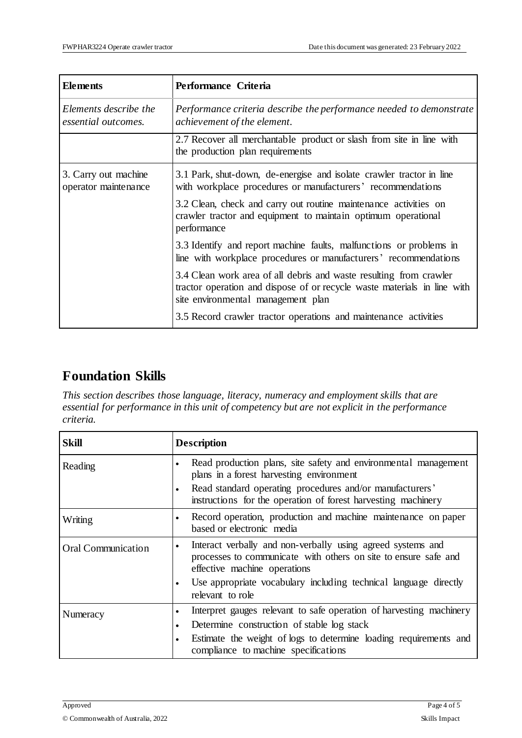| <b>Elements</b>                              | Performance Criteria                                                                                                                                                                                                                                                                    |  |
|----------------------------------------------|-----------------------------------------------------------------------------------------------------------------------------------------------------------------------------------------------------------------------------------------------------------------------------------------|--|
| Elements describe the<br>essential outcomes. | Performance criteria describe the performance needed to demonstrate<br>achievement of the element.                                                                                                                                                                                      |  |
|                                              | 2.7 Recover all merchantable product or slash from site in line with<br>the production plan requirements                                                                                                                                                                                |  |
| 3. Carry out machine<br>operator maintenance | 3.1 Park, shut-down, de-energise and isolate crawler tractor in line<br>with workplace procedures or manufacturers' recommendations<br>3.2 Clean, check and carry out routine maintenance activities on<br>crawler tractor and equipment to maintain optimum operational<br>performance |  |
|                                              | 3.3 Identify and report machine faults, malfunctions or problems in<br>line with workplace procedures or manufacturers' recommendations                                                                                                                                                 |  |
|                                              | 3.4 Clean work area of all debris and waste resulting from crawler<br>tractor operation and dispose of or recycle waste materials in line with<br>site environmental management plan                                                                                                    |  |
|                                              | 3.5 Record crawler tractor operations and maintenance activities                                                                                                                                                                                                                        |  |

## **Foundation Skills**

*This section describes those language, literacy, numeracy and employment skills that are essential for performance in this unit of competency but are not explicit in the performance criteria.*

| <b>Skill</b>              | <b>Description</b>                                                                                                                                                                                                                       |  |  |
|---------------------------|------------------------------------------------------------------------------------------------------------------------------------------------------------------------------------------------------------------------------------------|--|--|
| Reading                   | Read production plans, site safety and environmental management<br>plans in a forest harvesting environment<br>Read standard operating procedures and/or manufacturers'<br>instructions for the operation of forest harvesting machinery |  |  |
| Writing                   | Record operation, production and machine maintenance on paper<br>based or electronic media                                                                                                                                               |  |  |
| <b>Oral Communication</b> | Interact verbally and non-verbally using agreed systems and<br>$\bullet$<br>processes to communicate with others on site to ensure safe and<br>effective machine operations                                                              |  |  |
|                           | Use appropriate vocabulary including technical language directly<br>relevant to role                                                                                                                                                     |  |  |
| Numeracy                  | Interpret gauges relevant to safe operation of harvesting machinery<br>٠                                                                                                                                                                 |  |  |
|                           | Determine construction of stable log stack                                                                                                                                                                                               |  |  |
|                           | Estimate the weight of logs to determine loading requirements and<br>٠<br>compliance to machine specifications                                                                                                                           |  |  |